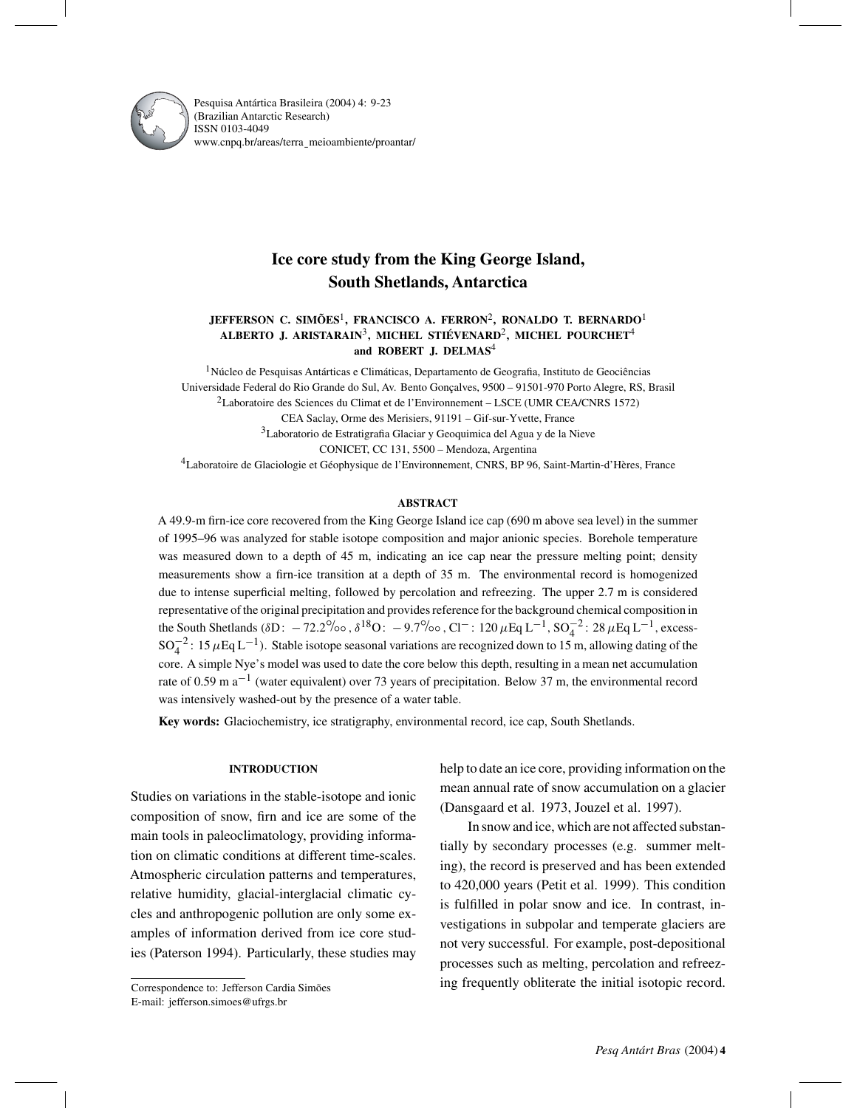

Pesquisa Antártica Brasileira (2004) 4: 9-23 (Brazilian Antarctic Research) ISSN 0103-4049 www.cnpq.br/areas/terra¯ meioambiente/proantar/

# **Ice core study from the King George Island, South Shetlands, Antarctica**

# **JEFFERSON C. SIMÕES**1**, FRANCISCO A. FERRON**2**, RONALDO T. BERNARDO**<sup>1</sup> **ALBERTO J. ARISTARAIN**3**, MICHEL STIÉVENARD**2**, MICHEL POURCHET**<sup>4</sup> **and ROBERT J. DELMAS**<sup>4</sup>

 ${}^{1}\rm N$ úcleo de Pesquisas Antárticas e Climáticas, Departamento de Geografia, Instituto de Geociências Universidade Federal do Rio Grande do Sul, Av. Bento Gonçalves, 9500 – 91501-970 Porto Alegre, RS, Brasil 2Laboratoire des Sciences du Climat et de l'Environnement – LSCE (UMR CEA/CNRS 1572) CEA Saclay, Orme des Merisiers, 91191 – Gif-sur-Yvette, France 3Laboratorio de Estratigrafia Glaciar y Geoquimica del Agua y de la Nieve CONICET, CC 131, 5500 – Mendoza, Argentina 4Laboratoire de Glaciologie et Géophysique de l'Environnement, CNRS, BP 96, Saint-Martin-d'Hères, France

### **ABSTRACT**

A 49.9-m firn-ice core recovered from the King George Island ice cap (690 m above sea level) in the summer of 1995–96 was analyzed for stable isotope composition and major anionic species. Borehole temperature was measured down to a depth of 45 m, indicating an ice cap near the pressure melting point; density measurements show a firn-ice transition at a depth of 35 m. The environmental record is homogenized due to intense superficial melting, followed by percolation and refreezing. The upper 2.7 m is considered representative of the original precipitation and provides reference for the background chemical composition in the South Shetlands ( $\delta D$ : −72.2‰,  $\delta^{18}O$ : −9.7‰, Cl<sup>-</sup>: 120  $\mu$ Eq L<sup>-1</sup>, SO<sub>4</sub><sup>2</sup>: 28  $\mu$ Eq L<sup>-1</sup>, excess- $SO_4^{-2}$ : 15  $\mu$ Eq L<sup>-1</sup>). Stable isotope seasonal variations are recognized down to 15 m, allowing dating of the core. A simple Nye's model was used to date the core below this depth, resulting in a mean net accumulation rate of 0.59 m a−<sup>1</sup> (water equivalent) over 73 years of precipitation. Below 37 m, the environmental record was intensively washed-out by the presence of a water table.

**Key words:** Glaciochemistry, ice stratigraphy, environmental record, ice cap, South Shetlands.

#### **INTRODUCTION**

Studies on variations in the stable-isotope and ionic composition of snow, firn and ice are some of the main tools in paleoclimatology, providing information on climatic conditions at different time-scales. Atmospheric circulation patterns and temperatures, relative humidity, glacial-interglacial climatic cycles and anthropogenic pollution are only some examples of information derived from ice core studies (Paterson 1994). Particularly, these studies may

Correspondence to: Jefferson Cardia Simões E-mail: jefferson.simoes@ufrgs.br

help to date an ice core, providing information on the mean annual rate of snow accumulation on a glacier (Dansgaard et al. 1973, Jouzel et al. 1997).

In snow and ice, which are not affected substantially by secondary processes (e.g. summer melting), the record is preserved and has been extended to 420,000 years (Petit et al. 1999). This condition is fulfilled in polar snow and ice. In contrast, investigations in subpolar and temperate glaciers are not very successful. For example, post-depositional processes such as melting, percolation and refreezing frequently obliterate the initial isotopic record.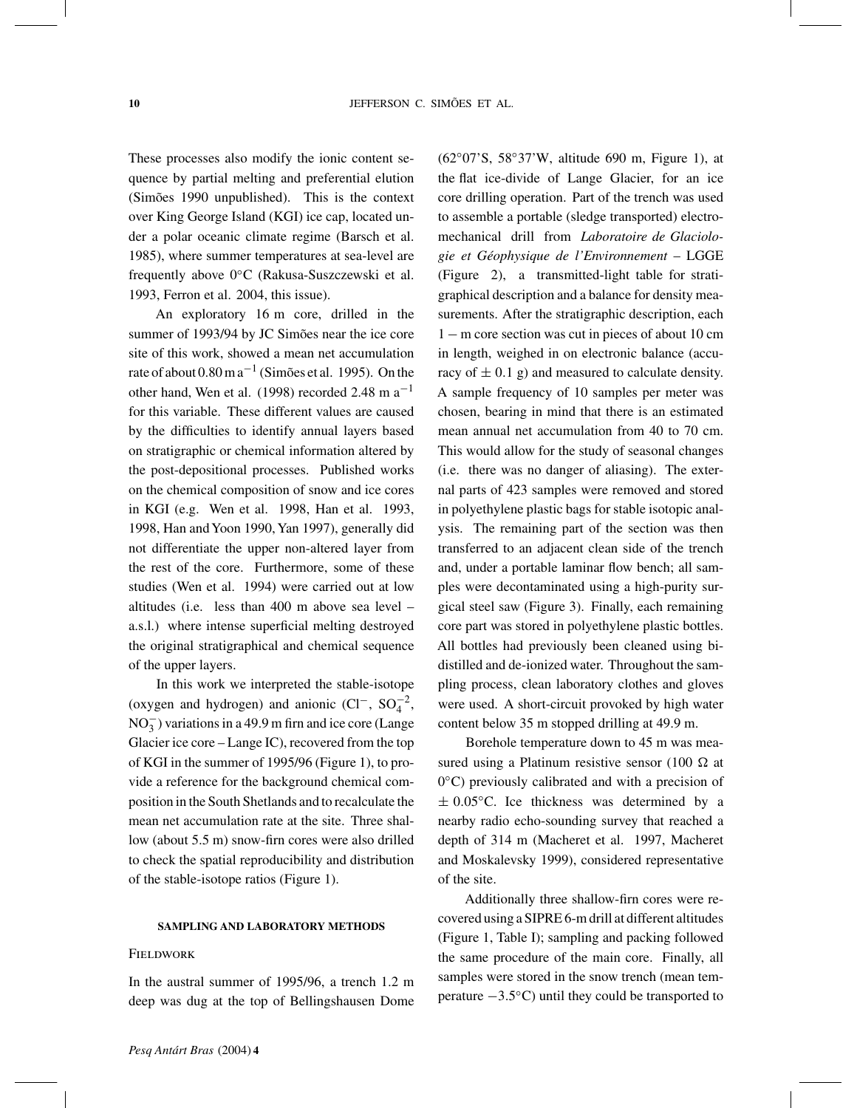These processes also modify the ionic content sequence by partial melting and preferential elution (Simões 1990 unpublished). This is the context over King George Island (KGI) ice cap, located under a polar oceanic climate regime (Barsch et al. 1985), where summer temperatures at sea-level are frequently above 0◦C (Rakusa-Suszczewski et al. 1993, Ferron et al. 2004, this issue).

An exploratory 16 m core, drilled in the summer of 1993/94 by JC Simões near the ice core site of this work, showed a mean net accumulation rate of about  $0.80 \text{ m a}^{-1}$  (Simões et al. 1995). On the other hand, Wen et al. (1998) recorded 2.48 m  $a^{-1}$ for this variable. These different values are caused by the difficulties to identify annual layers based on stratigraphic or chemical information altered by the post-depositional processes. Published works on the chemical composition of snow and ice cores in KGI (e.g. Wen et al. 1998, Han et al. 1993, 1998, Han and Yoon 1990, Yan 1997), generally did not differentiate the upper non-altered layer from the rest of the core. Furthermore, some of these studies (Wen et al. 1994) were carried out at low altitudes (i.e. less than 400 m above sea level – a.s.l.) where intense superficial melting destroyed the original stratigraphical and chemical sequence of the upper layers.

In this work we interpreted the stable-isotope (oxygen and hydrogen) and anionic  $(Cl^-, SO_4^{-2},$  $NO<sub>3</sub><sup>-</sup>$ ) variations in a 49.9 m firn and ice core (Lange Glacier ice core – Lange IC), recovered from the top of KGI in the summer of 1995/96 (Figure 1), to provide a reference for the background chemical composition in the South Shetlands and to recalculate the mean net accumulation rate at the site. Three shallow (about 5.5 m) snow-firn cores were also drilled to check the spatial reproducibility and distribution of the stable-isotope ratios (Figure 1).

#### **SAMPLING AND LABORATORY METHODS**

# **FIELDWORK**

In the austral summer of 1995/96, a trench 1.2 m deep was dug at the top of Bellingshausen Dome

(62◦07'S, 58◦37'W, altitude 690 m, Figure 1), at the flat ice-divide of Lange Glacier, for an ice core drilling operation. Part of the trench was used to assemble a portable (sledge transported) electromechanical drill from *Laboratoire de Glaciologie et Géophysique de l'Environnement* – LGGE (Figure 2), a transmitted-light table for stratigraphical description and a balance for density measurements. After the stratigraphic description, each 1 − m core section was cut in pieces of about 10 cm in length, weighed in on electronic balance (accuracy of  $\pm$  0.1 g) and measured to calculate density. A sample frequency of 10 samples per meter was chosen, bearing in mind that there is an estimated mean annual net accumulation from 40 to 70 cm. This would allow for the study of seasonal changes (i.e. there was no danger of aliasing). The external parts of 423 samples were removed and stored in polyethylene plastic bags for stable isotopic analysis. The remaining part of the section was then transferred to an adjacent clean side of the trench and, under a portable laminar flow bench; all samples were decontaminated using a high-purity surgical steel saw (Figure 3). Finally, each remaining core part was stored in polyethylene plastic bottles. All bottles had previously been cleaned using bidistilled and de-ionized water. Throughout the sampling process, clean laboratory clothes and gloves were used. A short-circuit provoked by high water content below 35 m stopped drilling at 49.9 m.

Borehole temperature down to 45 m was measured using a Platinum resistive sensor (100  $\Omega$  at 0◦C) previously calibrated and with a precision of  $\pm$  0.05 $^{\circ}$ C. Ice thickness was determined by a nearby radio echo-sounding survey that reached a depth of 314 m (Macheret et al. 1997, Macheret and Moskalevsky 1999), considered representative of the site.

Additionally three shallow-firn cores were recovered using a SIPRE 6-m drill at different altitudes (Figure 1, Table I); sampling and packing followed the same procedure of the main core. Finally, all samples were stored in the snow trench (mean temperature −3.5◦C) until they could be transported to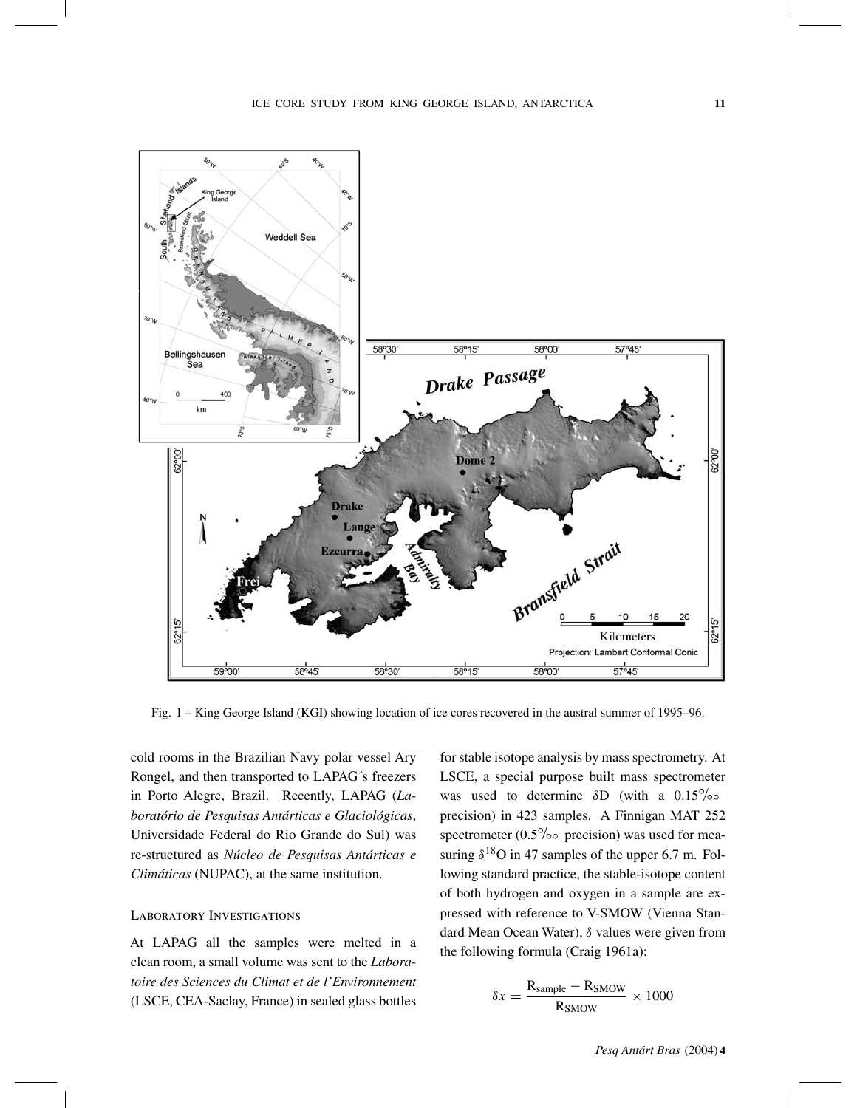

Fig. 1 – King George Island (KGI) showing location of ice cores recovered in the austral summer of 1995–96.

cold rooms in the Brazilian Navy polar vessel Ary Rongel, and then transported to LAPAG´s freezers in Porto Alegre, Brazil. Recently, LAPAG (*Laboratório de Pesquisas Antárticas e Glaciológicas*, Universidade Federal do Rio Grande do Sul) was re-structured as *Núcleo de Pesquisas Antárticas e Climáticas* (NUPAC), at the same institution.

#### Laboratory Investigations

At LAPAG all the samples were melted in a clean room, a small volume was sent to the *Laboratoire des Sciences du Climat et de l'Environnement* (LSCE, CEA-Saclay, France) in sealed glass bottles for stable isotope analysis by mass spectrometry. At LSCE, a special purpose built mass spectrometer was used to determine  $\delta$ D (with a 0.15<sup>°</sup>/∘ precision) in 423 samples. A Finnigan MAT 252 spectrometer ( $0.5\%$ <sup>o</sup> precision) was used for measuring  $\delta^{18}$ O in 47 samples of the upper 6.7 m. Following standard practice, the stable-isotope content of both hydrogen and oxygen in a sample are expressed with reference to V-SMOW (Vienna Standard Mean Ocean Water), δ values were given from the following formula (Craig 1961a):

$$
\delta x = \frac{\text{R}_{\text{sample}} - \text{R}_{\text{SMOW}}}{\text{R}_{\text{SMOW}}} \times 1000
$$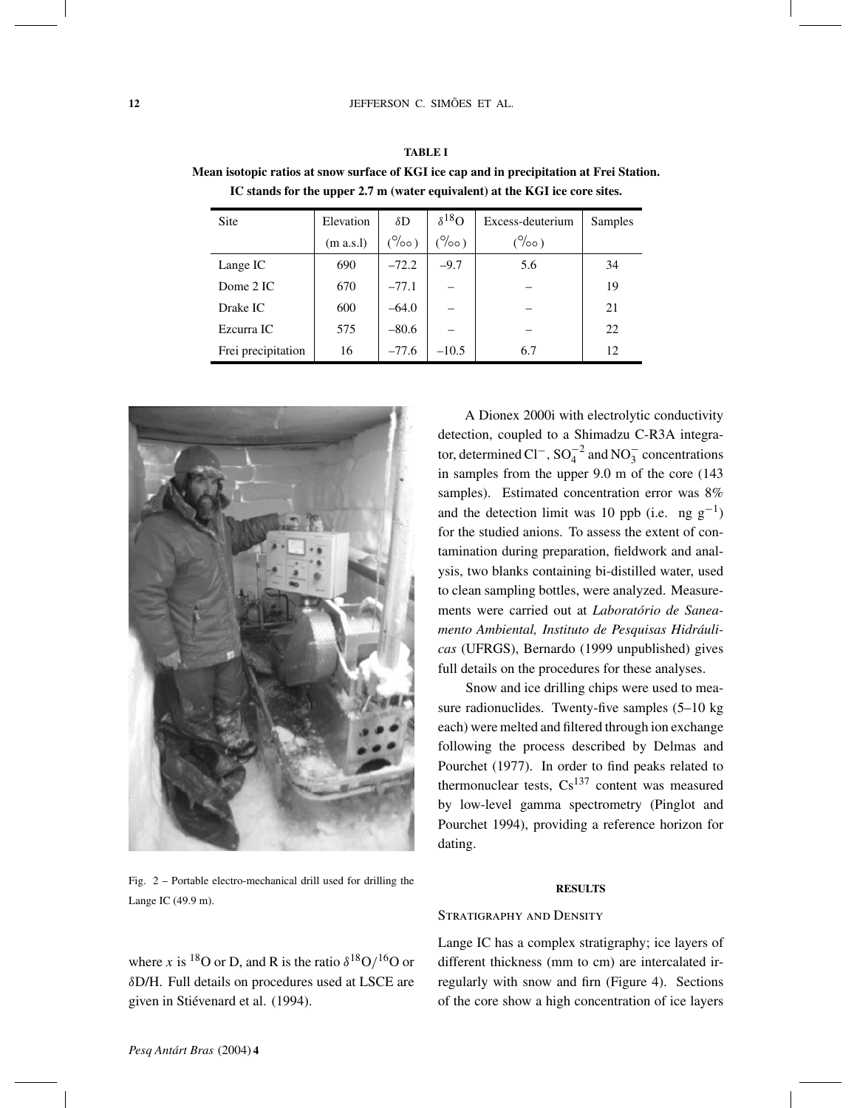| <b>Site</b>        | Elevation | $\delta D$                 | $\delta^{18}$ O | Excess-deuterium | Samples |
|--------------------|-----------|----------------------------|-----------------|------------------|---------|
|                    | (m a.s.1) | $(^{\circ}/_{\circ}\circ)$ | $(^\circ$ (00)  | $(\% \circ)$     |         |
| Lange IC           | 690       | $-72.2$                    | $-9.7$          | 5.6              | 34      |
| Dome 2 IC          | 670       | $-77.1$                    |                 |                  | 19      |
| Drake IC           | 600       | $-64.0$                    |                 |                  | 21      |
| Ezcurra IC         | 575       | $-80.6$                    |                 |                  | 22      |
| Frei precipitation | 16        | $-77.6$                    | $-10.5$         | 6.7              | 12      |

**Mean isotopic ratios at snow surface of KGI ice cap and in precipitation at Frei Station. IC stands for the upper 2.7 m (water equivalent) at the KGI ice core sites.**



Fig. 2 – Portable electro-mechanical drill used for drilling the Lange IC (49.9 m).

where x is <sup>18</sup>O or D, and R is the ratio  $\delta^{18}O/I^6O$  or δD/H. Full details on procedures used at LSCE are given in Stiévenard et al. (1994).

A Dionex 2000i with electrolytic conductivity detection, coupled to a Shimadzu C-R3A integrator, determined Cl<sup>-</sup>, SO<sub>4</sub><sup>-2</sup> and NO<sub>3</sub><sup>-</sup> concentrations in samples from the upper 9.0 m of the core (143 samples). Estimated concentration error was 8% and the detection limit was 10 ppb (i.e. ng  $g^{-1}$ ) for the studied anions. To assess the extent of contamination during preparation, fieldwork and analysis, two blanks containing bi-distilled water, used to clean sampling bottles, were analyzed. Measurements were carried out at *Laboratório de Saneamento Ambiental, Instituto de Pesquisas Hidráulicas* (UFRGS), Bernardo (1999 unpublished) gives full details on the procedures for these analyses.

Snow and ice drilling chips were used to measure radionuclides. Twenty-five samples (5–10 kg each) were melted and filtered through ion exchange following the process described by Delmas and Pourchet (1977). In order to find peaks related to thermonuclear tests,  $Cs^{137}$  content was measured by low-level gamma spectrometry (Pinglot and Pourchet 1994), providing a reference horizon for dating.

## **RESULTS**

# STRATIGRAPHY AND DENSITY

Lange IC has a complex stratigraphy; ice layers of different thickness (mm to cm) are intercalated irregularly with snow and firn (Figure 4). Sections of the core show a high concentration of ice layers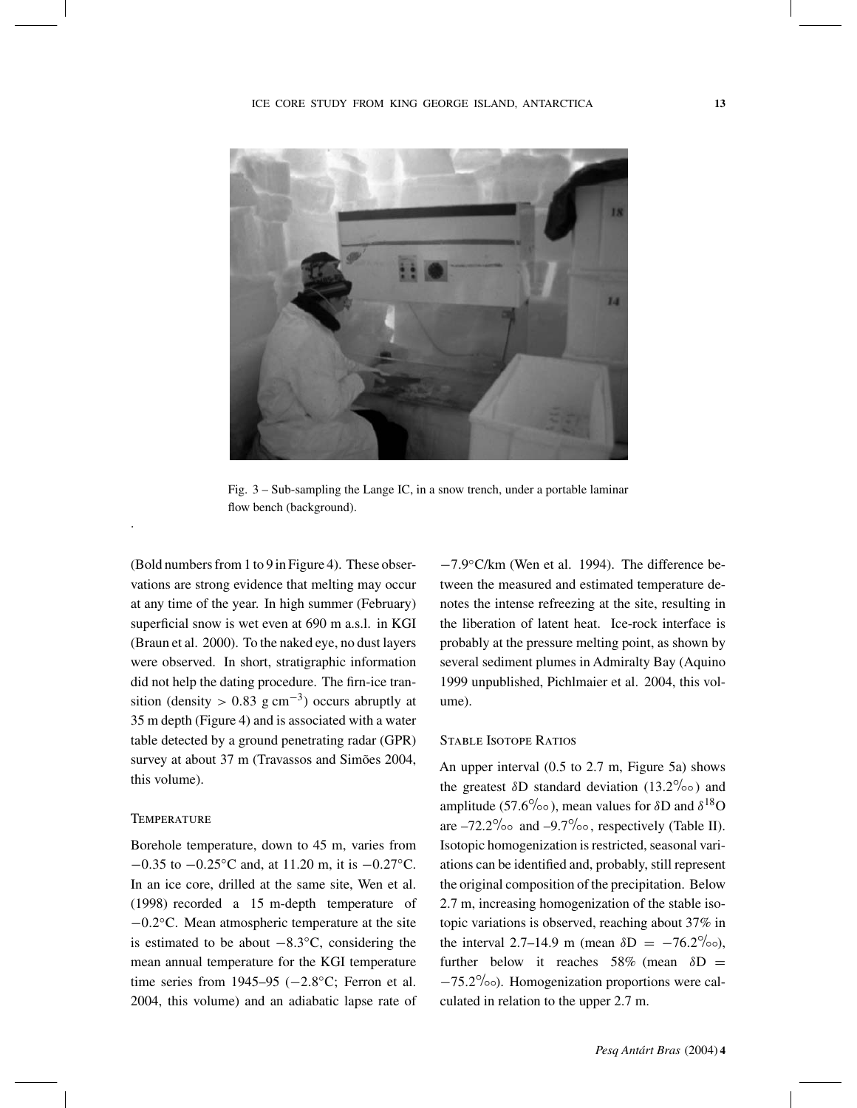

Fig. 3 – Sub-sampling the Lange IC, in a snow trench, under a portable laminar flow bench (background).

(Bold numbers from 1 to 9 in Figure 4). These observations are strong evidence that melting may occur at any time of the year. In high summer (February) superficial snow is wet even at 690 m a.s.l. in KGI (Braun et al. 2000). To the naked eye, no dust layers were observed. In short, stratigraphic information did not help the dating procedure. The firn-ice transition (density > 0.83 g cm<sup>-3</sup>) occurs abruptly at 35 m depth (Figure 4) and is associated with a water table detected by a ground penetrating radar (GPR) survey at about 37 m (Travassos and Simões 2004, this volume).

# **TEMPERATURE**

.

Borehole temperature, down to 45 m, varies from −0.35 to −0.25◦C and, at 11.20 m, it is −0.27◦C. In an ice core, drilled at the same site, Wen et al. (1998) recorded a 15 m-depth temperature of −0.2◦C. Mean atmospheric temperature at the site is estimated to be about  $-8.3\degree C$ , considering the mean annual temperature for the KGI temperature time series from 1945–95 ( $-2.8\degree$ C; Ferron et al. 2004, this volume) and an adiabatic lapse rate of −7.9◦C/km (Wen et al. 1994). The difference between the measured and estimated temperature denotes the intense refreezing at the site, resulting in the liberation of latent heat. Ice-rock interface is probably at the pressure melting point, as shown by several sediment plumes in Admiralty Bay (Aquino 1999 unpublished, Pichlmaier et al. 2004, this volume).

## Stable Isotope Ratios

An upper interval (0.5 to 2.7 m, Figure 5a) shows the greatest  $\delta$ D standard deviation (13.2<sup>°</sup>/∘∘) and amplitude (57.6<sup>o</sup>/∘⋅), mean values for  $\delta$ D and  $\delta^{18}$ O are  $-72.2\%$ <sup>°</sup> and  $-9.7\%$ <sup>°</sup> , respectively (Table II). Isotopic homogenization is restricted, seasonal variations can be identified and, probably, still represent the original composition of the precipitation. Below 2.7 m, increasing homogenization of the stable isotopic variations is observed, reaching about 37% in the interval 2.7–14.9 m (mean  $\delta D = -76.2\%$ <sup>o</sup>), further below it reaches 58% (mean  $\delta D =$ −75.2◦/◦◦). Homogenization proportions were calculated in relation to the upper 2.7 m.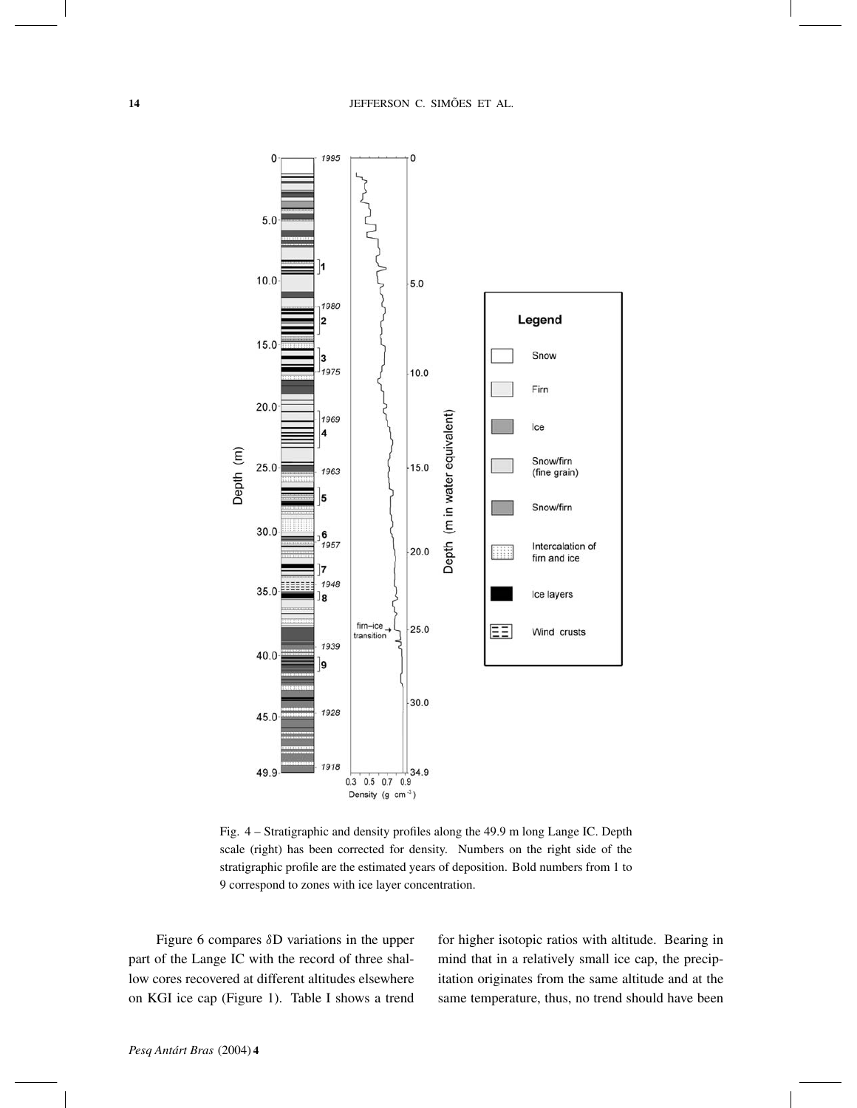

Fig. 4 – Stratigraphic and density profiles along the 49.9 m long Lange IC. Depth scale (right) has been corrected for density. Numbers on the right side of the stratigraphic profile are the estimated years of deposition. Bold numbers from 1 to 9 correspond to zones with ice layer concentration.

Figure 6 compares δD variations in the upper part of the Lange IC with the record of three shallow cores recovered at different altitudes elsewhere on KGI ice cap (Figure 1). Table I shows a trend for higher isotopic ratios with altitude. Bearing in mind that in a relatively small ice cap, the precipitation originates from the same altitude and at the same temperature, thus, no trend should have been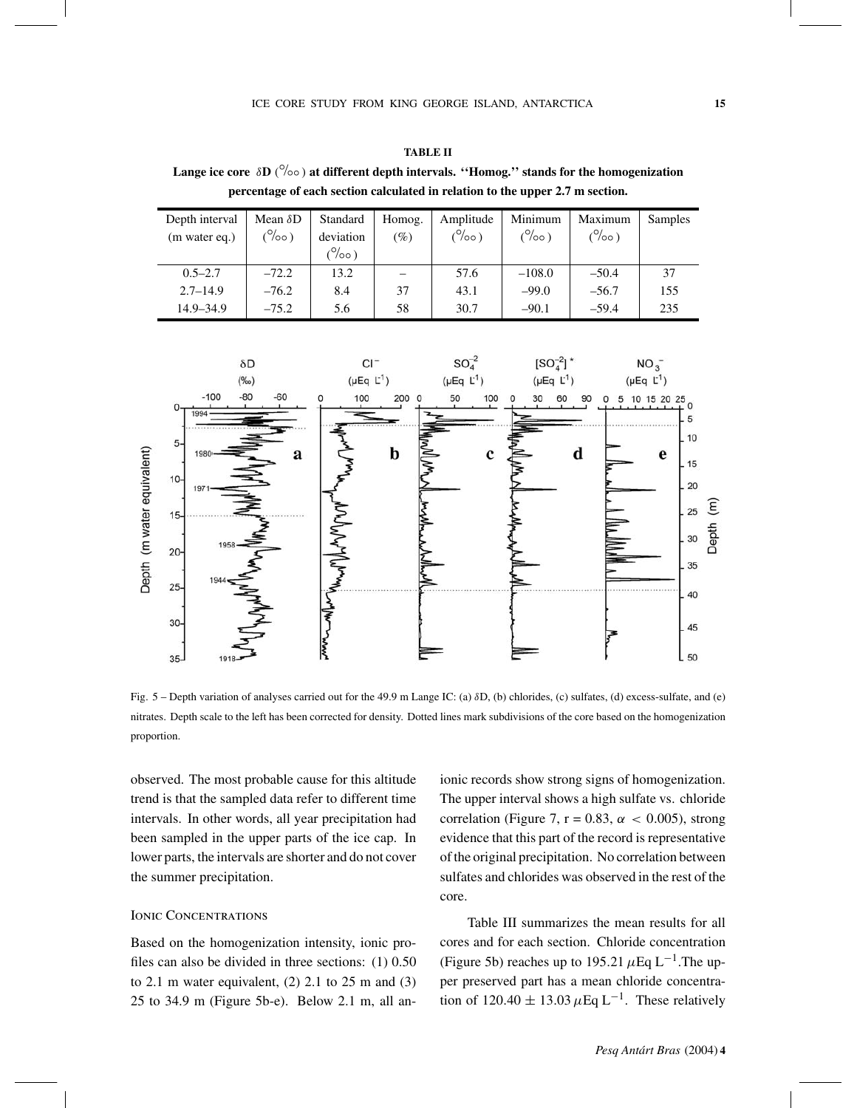**Lange ice core** δ**D** ( ◦/◦◦ ) **at different depth intervals. ''Homog.'' stands for the homogenization percentage of each section calculated in relation to the upper 2.7 m section.**

| Depth interval | Mean $\delta$ D | Standard                      | Homog. | Amplitude | Minimum          | Maximum | Samples |
|----------------|-----------------|-------------------------------|--------|-----------|------------------|---------|---------|
| (m water eq.)  | (°/°)           | deviation                     | $(\%)$ | (°/°)     | $\frac{10}{100}$ | (°/°0)  |         |
|                |                 | $\frac{1}{2}$ ( $\frac{1}{2}$ |        |           |                  |         |         |
| $0.5 - 2.7$    | $-72.2$         | 13.2                          |        | 57.6      | $-108.0$         | $-50.4$ | 37      |
| $2.7 - 14.9$   | $-76.2$         | 8.4                           | 37     | 43.1      | $-99.0$          | $-56.7$ | 155     |
| 14.9–34.9      | $-75.2$         | 5.6                           | 58     | 30.7      | $-90.1$          | $-59.4$ | 235     |



Fig. 5 – Depth variation of analyses carried out for the 49.9 m Lange IC: (a) δD, (b) chlorides, (c) sulfates, (d) excess-sulfate, and (e) nitrates. Depth scale to the left has been corrected for density. Dotted lines mark subdivisions of the core based on the homogenization proportion.

observed. The most probable cause for this altitude trend is that the sampled data refer to different time intervals. In other words, all year precipitation had been sampled in the upper parts of the ice cap. In lower parts, the intervals are shorter and do not cover the summer precipitation.

#### Ionic Concentrations

Based on the homogenization intensity, ionic profiles can also be divided in three sections: (1) 0.50 to 2.1 m water equivalent,  $(2)$  2.1 to 25 m and  $(3)$ 25 to 34.9 m (Figure 5b-e). Below 2.1 m, all anionic records show strong signs of homogenization. The upper interval shows a high sulfate vs. chloride correlation (Figure 7, r = 0.83,  $\alpha$  < 0.005), strong evidence that this part of the record is representative of the original precipitation. No correlation between sulfates and chlorides was observed in the rest of the core.

Table III summarizes the mean results for all cores and for each section. Chloride concentration (Figure 5b) reaches up to 195.21  $\mu$ Eq L<sup>-1</sup>. The upper preserved part has a mean chloride concentration of 120.40  $\pm$  13.03  $\mu$ Eq L<sup>-1</sup>. These relatively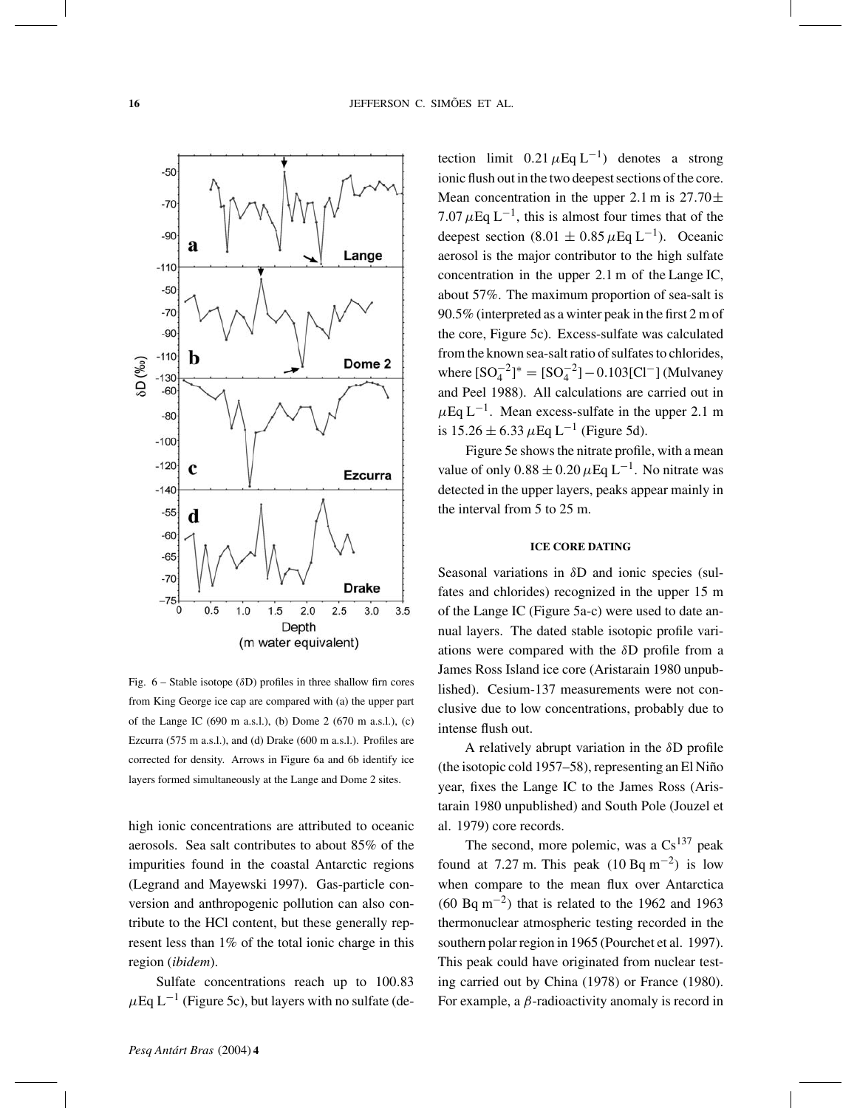

Fig.  $6 -$  Stable isotope ( $\delta$ D) profiles in three shallow firn cores from King George ice cap are compared with (a) the upper part of the Lange IC (690 m a.s.l.), (b) Dome 2 (670 m a.s.l.), (c) Ezcurra (575 m a.s.l.), and (d) Drake (600 m a.s.l.). Profiles are corrected for density. Arrows in Figure 6a and 6b identify ice layers formed simultaneously at the Lange and Dome 2 sites.

high ionic concentrations are attributed to oceanic aerosols. Sea salt contributes to about 85% of the impurities found in the coastal Antarctic regions (Legrand and Mayewski 1997). Gas-particle conversion and anthropogenic pollution can also contribute to the HCl content, but these generally represent less than 1% of the total ionic charge in this region (*ibidem*).

Sulfate concentrations reach up to 100.83  $\mu$ Eq L<sup>-1</sup> (Figure 5c), but layers with no sulfate (detection limit  $0.21 \mu$ Eq L<sup>-1</sup>) denotes a strong ionic flush out in the two deepest sections of the core. Mean concentration in the upper 2.1 m is  $27.70 \pm$ 7.07  $\mu$ Eq L<sup>-1</sup>, this is almost four times that of the deepest section (8.01  $\pm$  0.85  $\mu$ Eq L<sup>-1</sup>). Oceanic aerosol is the major contributor to the high sulfate concentration in the upper 2.1 m of the Lange IC, about 57%. The maximum proportion of sea-salt is 90.5% (interpreted as a winter peak in the first 2 m of the core, Figure 5c). Excess-sulfate was calculated from the known sea-salt ratio of sulfates to chlorides, where  $[SO_4^{-2}]^* = [SO_4^{-2}] - 0.103[C1^-]$  (Mulvaney and Peel 1988). All calculations are carried out in  $\mu$ Eq L<sup>-1</sup>. Mean excess-sulfate in the upper 2.1 m is  $15.26 \pm 6.33 \,\mu$ Eq L<sup>-1</sup> (Figure 5d).

Figure 5e shows the nitrate profile, with a mean value of only  $0.88 \pm 0.20 \,\mu\text{Eq L}^{-1}$ . No nitrate was detected in the upper layers, peaks appear mainly in the interval from 5 to 25 m.

# **ICE CORE DATING**

Seasonal variations in δD and ionic species (sulfates and chlorides) recognized in the upper 15 m of the Lange IC (Figure 5a-c) were used to date annual layers. The dated stable isotopic profile variations were compared with the δD profile from a James Ross Island ice core (Aristarain 1980 unpublished). Cesium-137 measurements were not conclusive due to low concentrations, probably due to intense flush out.

A relatively abrupt variation in the δD profile (the isotopic cold 1957–58), representing an El Niño year, fixes the Lange IC to the James Ross (Aristarain 1980 unpublished) and South Pole (Jouzel et al. 1979) core records.

The second, more polemic, was a  $Cs^{137}$  peak found at 7.27 m. This peak  $(10 \text{ Bq m}^{-2})$  is low when compare to the mean flux over Antarctica (60 Bq m<sup>-2</sup>) that is related to the 1962 and 1963 thermonuclear atmospheric testing recorded in the southern polar region in 1965 (Pourchet et al. 1997). This peak could have originated from nuclear testing carried out by China (1978) or France (1980). For example, a  $\beta$ -radioactivity anomaly is record in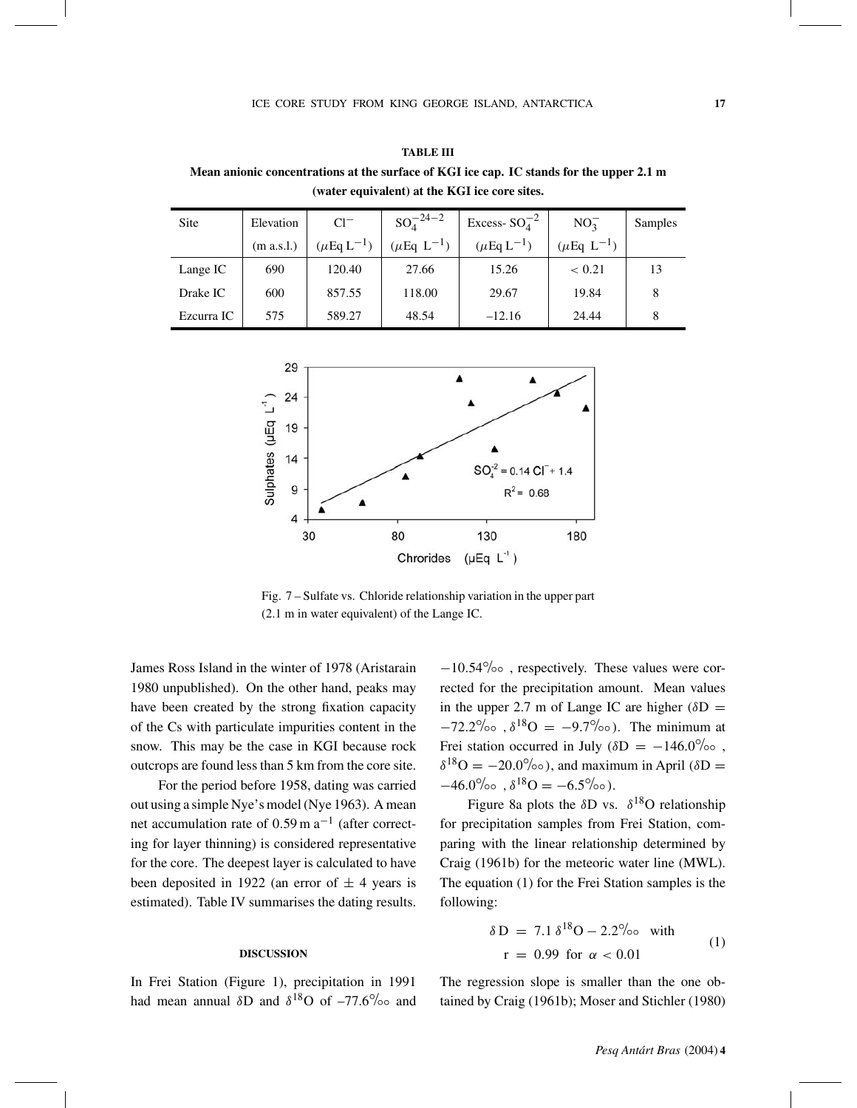**TABLE III Mean anionic concentrations at the surface of KGI ice cap. IC stands for the upper 2.1 m (water equivalent) at the KGI ice core sites.**

| <b>Site</b> | Elevation  | $Cl^-$                      | $SO_4^{-24-2}$                      | Excess- $SO_4^{-2}$          | $NO_2^-$                    | Samples |
|-------------|------------|-----------------------------|-------------------------------------|------------------------------|-----------------------------|---------|
|             | (m a.s.l.) | $(\mu$ Eq L <sup>-1</sup> ) | $(\mu \mathrm{Eq} \mathrm{L}^{-1})$ | $(\mu \mathrm{Eq\, L}^{-1})$ | $(\mu$ Eq L <sup>-1</sup> ) |         |
| Lange IC    | 690        | 120.40                      | 27.66                               | 15.26                        | < 0.21                      | 13      |
| Drake IC    | 600        | 857.55                      | 118.00                              | 29.67                        | 19.84                       | 8       |
| Ezcurra IC  | 575        | 589.27                      | 48.54                               | $-12.16$                     | 24.44                       | 8       |



Fig. 7 – Sulfate vs. Chloride relationship variation in the upper part (2.1 m in water equivalent) of the Lange IC.

James Ross Island in the winter of 1978 (Aristarain 1980 unpublished). On the other hand, peaks may have been created by the strong fixation capacity of the Cs with particulate impurities content in the snow. This may be the case in KGI because rock outcrops are found less than 5 km from the core site.

For the period before 1958, dating was carried out using a simple Nye's model (Nye 1963). A mean net accumulation rate of  $0.59$  m a<sup>-1</sup> (after correcting for layer thinning) is considered representative for the core. The deepest layer is calculated to have been deposited in 1922 (an error of  $\pm$  4 years is estimated). Table IV summarises the dating results.

#### **DISCUSSION**

In Frei Station (Figure 1), precipitation in 1991 had mean annual  $\delta D$  and  $\delta^{18}O$  of  $-77.6^{\circ}/\!\!\circ\circ$  and <sup>−</sup>10.54◦/◦◦ , respectively. These values were corrected for the precipitation amount. Mean values in the upper 2.7 m of Lange IC are higher ( $\delta D =$  $-72.2\%$  ,  $\delta^{18}O = -9.7\%$  ). The minimum at Frei station occurred in July ( $\delta D = -146.0\%$ <sup>o</sup>,  $\delta^{18}O = -20.0\%$ <sup>o</sup>), and maximum in April ( $\delta D =$  $-46.0\%$ ∘ ,  $\delta^{18}O = -6.5\%$ °).

Figure 8a plots the  $\delta$ D vs.  $\delta^{18}$ O relationship for precipitation samples from Frei Station, comparing with the linear relationship determined by Craig (1961b) for the meteoric water line (MWL). The equation (1) for the Frei Station samples is the following:

$$
\delta D = 7.1 \delta^{18}O - 2.2\% \text{ or with}
$$
  
r = 0.99 for  $\alpha < 0.01$  (1)

The regression slope is smaller than the one obtained by Craig (1961b); Moser and Stichler (1980)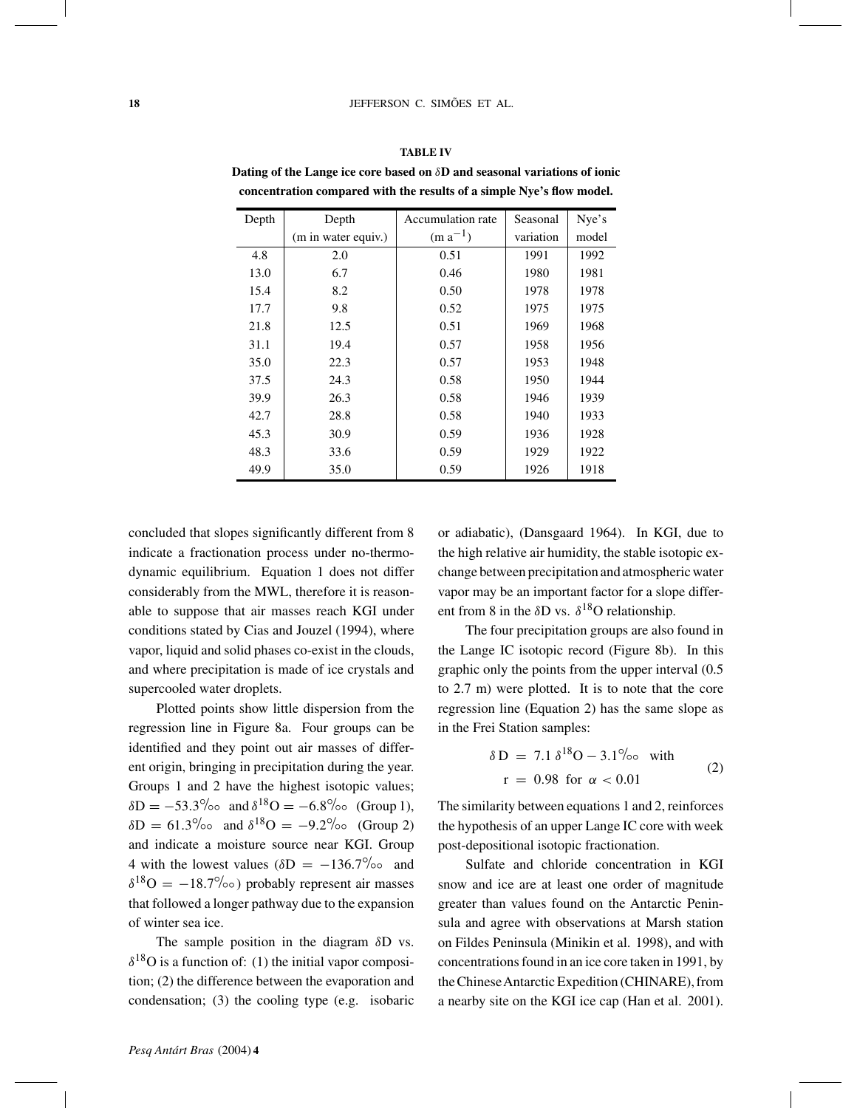# **TABLE IV**

| Depth | Depth               | Accumulation rate | Seasonal  | Nye's |
|-------|---------------------|-------------------|-----------|-------|
|       | (m in water equiv.) | $(m a^{-1})$      | variation | model |
| 4.8   | 2.0                 | 0.51              | 1991      | 1992  |
| 13.0  | 6.7                 | 0.46              | 1980      | 1981  |
| 15.4  | 8.2                 | 0.50              | 1978      | 1978  |
| 17.7  | 9.8                 | 0.52              | 1975      | 1975  |
| 21.8  | 12.5                | 0.51              | 1969      | 1968  |
| 31.1  | 19.4                | 0.57              | 1958      | 1956  |
| 35.0  | 22.3                | 0.57              | 1953      | 1948  |
| 37.5  | 24.3                | 0.58              | 1950      | 1944  |
| 39.9  | 26.3                | 0.58              | 1946      | 1939  |
| 42.7  | 28.8                | 0.58              | 1940      | 1933  |
| 45.3  | 30.9                | 0.59              | 1936      | 1928  |
| 48.3  | 33.6                | 0.59              | 1929      | 1922  |
| 49.9  | 35.0                | 0.59              | 1926      | 1918  |

**Dating of the Lange ice core based on** δ**D and seasonal variations of ionic concentration compared with the results of a simple Nye's flow model.**

concluded that slopes significantly different from 8 indicate a fractionation process under no-thermodynamic equilibrium. Equation 1 does not differ considerably from the MWL, therefore it is reasonable to suppose that air masses reach KGI under conditions stated by Cias and Jouzel (1994), where vapor, liquid and solid phases co-exist in the clouds, and where precipitation is made of ice crystals and supercooled water droplets.

Plotted points show little dispersion from the regression line in Figure 8a. Four groups can be identified and they point out air masses of different origin, bringing in precipitation during the year. Groups 1 and 2 have the highest isotopic values;  $\delta D = -53.3\%$ <sup>o</sup> and  $\delta^{18}O = -6.8\%$ <sup>o</sup> (Group 1),  $δD = 61.3°/₀⁵$  and  $δ<sup>18</sup>O = -9.2°/₀⁰$  (Group 2) and indicate a moisture source near KGI. Group 4 with the lowest values ( $\delta D = -136.7\%$ <sup>o</sup> and  $\delta^{18}O = -18.7\%$ <sup>o</sup>) probably represent air masses that followed a longer pathway due to the expansion of winter sea ice.

The sample position in the diagram  $\delta$ D vs.  $\delta^{18}$ O is a function of: (1) the initial vapor composition; (2) the difference between the evaporation and condensation; (3) the cooling type (e.g. isobaric or adiabatic), (Dansgaard 1964). In KGI, due to the high relative air humidity, the stable isotopic exchange between precipitation and atmospheric water vapor may be an important factor for a slope different from 8 in the  $\delta$ D vs.  $\delta^{18}$ O relationship.

The four precipitation groups are also found in the Lange IC isotopic record (Figure 8b). In this graphic only the points from the upper interval (0.5 to 2.7 m) were plotted. It is to note that the core regression line (Equation 2) has the same slope as in the Frei Station samples:

$$
\delta D = 7.1 \delta^{18}O - 3.1\% \text{ or with}
$$
  
r = 0.98 for  $\alpha < 0.01$  (2)

The similarity between equations 1 and 2, reinforces the hypothesis of an upper Lange IC core with week post-depositional isotopic fractionation.

Sulfate and chloride concentration in KGI snow and ice are at least one order of magnitude greater than values found on the Antarctic Peninsula and agree with observations at Marsh station on Fildes Peninsula (Minikin et al. 1998), and with concentrations found in an ice core taken in 1991, by the ChineseAntarctic Expedition (CHINARE), from a nearby site on the KGI ice cap (Han et al. 2001).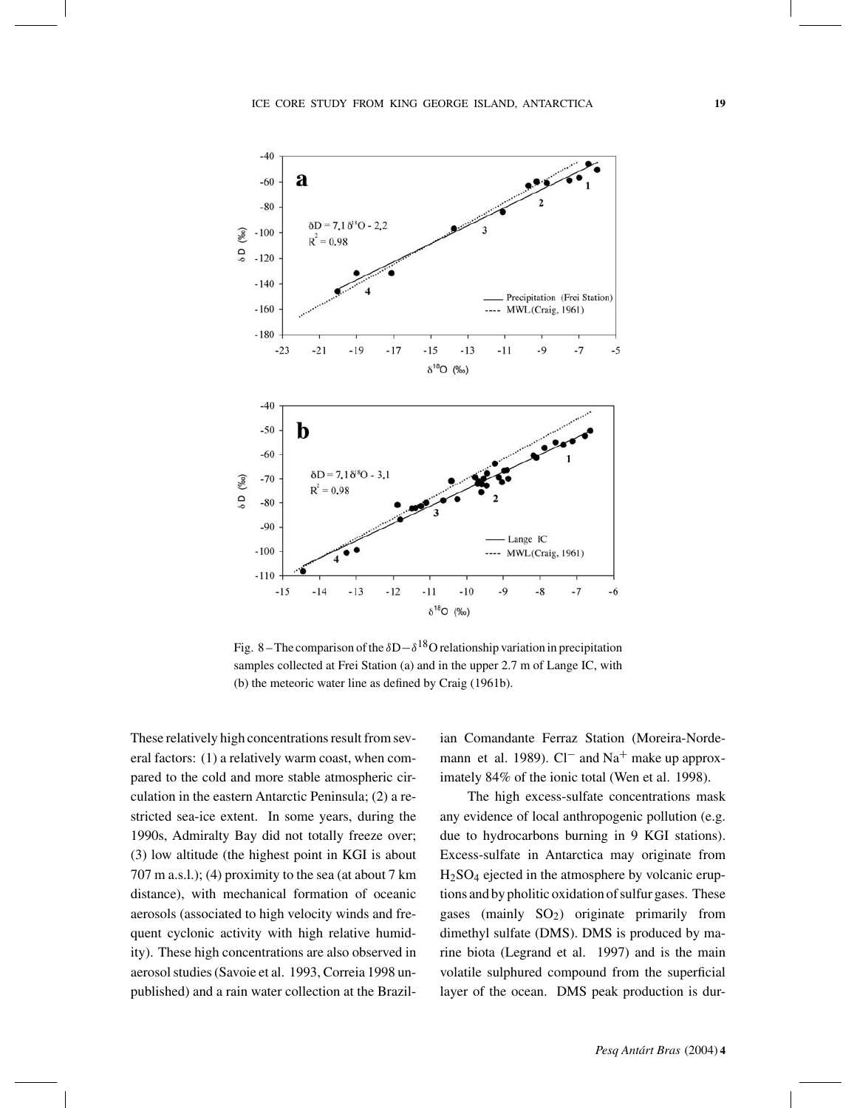

Fig. 8 – The comparison of the  $\delta D - \delta^{18}O$  relationship variation in precipitation samples collected at Frei Station (a) and in the upper 2.7 m of Lange IC, with (b) the meteoric water line as defined by Craig (1961b).

These relatively high concentrations result from several factors: (1) a relatively warm coast, when compared to the cold and more stable atmospheric circulation in the eastern Antarctic Peninsula; (2) a restricted sea-ice extent. In some years, during the 1990s, Admiralty Bay did not totally freeze over; (3) low altitude (the highest point in KGI is about 707 m a.s.l.); (4) proximity to the sea (at about 7 km distance), with mechanical formation of oceanic aerosols (associated to high velocity winds and frequent cyclonic activity with high relative humidity). These high concentrations are also observed in aerosol studies (Savoie et al. 1993, Correia 1998 unpublished) and a rain water collection at the Brazilian Comandante Ferraz Station (Moreira-Nordemann et al. 1989). Cl<sup>−</sup> and Na<sup>+</sup> make up approximately 84% of the ionic total (Wen et al. 1998).

The high excess-sulfate concentrations mask any evidence of local anthropogenic pollution (e.g. due to hydrocarbons burning in 9 KGI stations). Excess-sulfate in Antarctica may originate from H2SO4 ejected in the atmosphere by volcanic eruptions and by pholitic oxidation of sulfur gases. These gases (mainly  $SO_2$ ) originate primarily from dimethyl sulfate (DMS). DMS is produced by marine biota (Legrand et al. 1997) and is the main volatile sulphured compound from the superficial layer of the ocean. DMS peak production is dur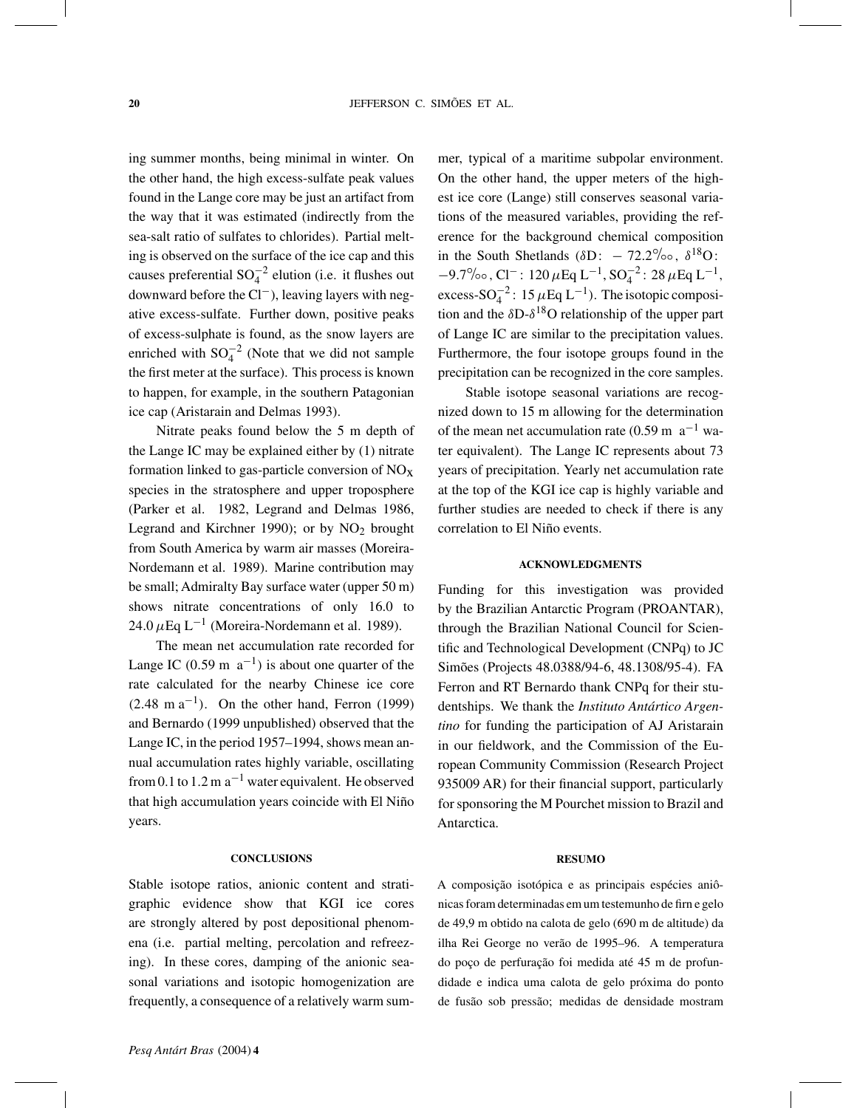ing summer months, being minimal in winter. On the other hand, the high excess-sulfate peak values found in the Lange core may be just an artifact from the way that it was estimated (indirectly from the sea-salt ratio of sulfates to chlorides). Partial melting is observed on the surface of the ice cap and this causes preferential  $SO_4^{-2}$  elution (i.e. it flushes out downward before the Cl−), leaving layers with negative excess-sulfate. Further down, positive peaks of excess-sulphate is found, as the snow layers are enriched with  $SO_4^{-2}$  (Note that we did not sample the first meter at the surface). This process is known to happen, for example, in the southern Patagonian ice cap (Aristarain and Delmas 1993).

Nitrate peaks found below the 5 m depth of the Lange IC may be explained either by (1) nitrate formation linked to gas-particle conversion of  $NO<sub>x</sub>$ species in the stratosphere and upper troposphere (Parker et al. 1982, Legrand and Delmas 1986, Legrand and Kirchner 1990); or by  $NO<sub>2</sub>$  brought from South America by warm air masses (Moreira-Nordemann et al. 1989). Marine contribution may be small; Admiralty Bay surface water (upper 50 m) shows nitrate concentrations of only 16.0 to 24.0  $\mu$ Eq L<sup>-1</sup> (Moreira-Nordemann et al. 1989).

The mean net accumulation rate recorded for Lange IC (0.59 m  $a^{-1}$ ) is about one quarter of the rate calculated for the nearby Chinese ice core  $(2.48 \text{ m a}^{-1})$ . On the other hand, Ferron (1999) and Bernardo (1999 unpublished) observed that the Lange IC, in the period 1957–1994, shows mean annual accumulation rates highly variable, oscillating from 0.1 to 1.2 m  $a^{-1}$  water equivalent. He observed that high accumulation years coincide with El Niño years.

#### **CONCLUSIONS**

Stable isotope ratios, anionic content and stratigraphic evidence show that KGI ice cores are strongly altered by post depositional phenomena (i.e. partial melting, percolation and refreezing). In these cores, damping of the anionic seasonal variations and isotopic homogenization are frequently, a consequence of a relatively warm summer, typical of a maritime subpolar environment. On the other hand, the upper meters of the highest ice core (Lange) still conserves seasonal variations of the measured variables, providing the reference for the background chemical composition in the South Shetlands ( $\delta D$ : – 72.2‰,  $\delta^{18}O$ :  $-9.7\%$ ∘, Cl<sup>-</sup>: 120 μEq L<sup>-1</sup>, SO<sub>4</sub><sup>-2</sup>: 28 μEq L<sup>-1</sup>, excess-SO<sub>4</sub><sup>2</sup>: 15  $\mu$ Eq L<sup>-1</sup>). The isotopic composition and the  $\delta D-\delta^{18}O$  relationship of the upper part of Lange IC are similar to the precipitation values. Furthermore, the four isotope groups found in the precipitation can be recognized in the core samples.

Stable isotope seasonal variations are recognized down to 15 m allowing for the determination of the mean net accumulation rate (0.59 m  $a^{-1}$  water equivalent). The Lange IC represents about 73 years of precipitation. Yearly net accumulation rate at the top of the KGI ice cap is highly variable and further studies are needed to check if there is any correlation to El Niño events.

#### **ACKNOWLEDGMENTS**

Funding for this investigation was provided by the Brazilian Antarctic Program (PROANTAR), through the Brazilian National Council for Scientific and Technological Development (CNPq) to JC Simões (Projects 48.0388/94-6, 48.1308/95-4). FA Ferron and RT Bernardo thank CNPq for their studentships. We thank the *Instituto Antártico Argentino* for funding the participation of AJ Aristarain in our fieldwork, and the Commission of the European Community Commission (Research Project 935009 AR) for their financial support, particularly for sponsoring the M Pourchet mission to Brazil and Antarctica.

#### **RESUMO**

A composição isotópica e as principais espécies aniônicas foram determinadas em um testemunho de firn e gelo de 49,9 m obtido na calota de gelo (690 m de altitude) da ilha Rei George no verão de 1995–96. A temperatura do poço de perfuração foi medida até 45 m de profundidade e indica uma calota de gelo próxima do ponto de fusão sob pressão; medidas de densidade mostram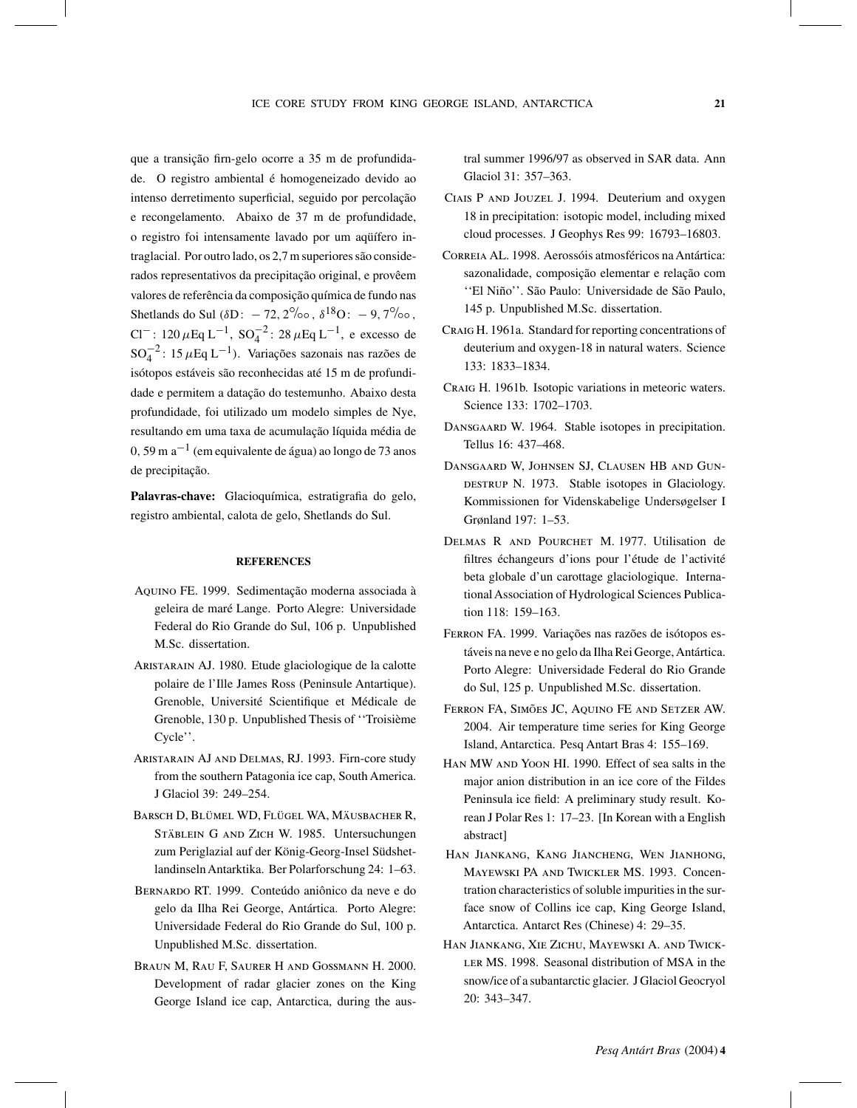que a transição firn-gelo ocorre a 35 m de profundidade. O registro ambiental é homogeneizado devido ao intenso derretimento superficial, seguido por percolação e recongelamento. Abaixo de 37 m de profundidade, o registro foi intensamente lavado por um aqüífero intraglacial. Por outro lado, os 2,7 m superiores são considerados representativos da precipitação original, e provêem valores de referência da composição química de fundo nas Shetlands do Sul ( $\delta D$ : − 72, 2‰ ,  $\delta^{18}O$ : − 9, 7‰. Cl<sup>−</sup>: 120 µEq L<sup>-1</sup>, SO<sub>4</sub><sup>2</sup>: 28 µEq L<sup>-1</sup>, e excesso de  $SO_4^{-2}$ : 15  $\mu$ Eq L<sup>-1</sup>). Variações sazonais nas razões de isótopos estáveis são reconhecidas até 15 m de profundidade e permitem a datação do testemunho. Abaixo desta profundidade, foi utilizado um modelo simples de Nye, resultando em uma taxa de acumulação líquida média de 0, 59 m  $a^{-1}$  (em equivalente de água) ao longo de 73 anos de precipitação.

**Palavras-chave:** Glacioquímica, estratigrafia do gelo, registro ambiental, calota de gelo, Shetlands do Sul.

# **REFERENCES**

- Aquino FE. 1999. Sedimentação moderna associada à geleira de maré Lange. Porto Alegre: Universidade Federal do Rio Grande do Sul, 106 p. Unpublished M.Sc. dissertation.
- Aristarain AJ. 1980. Etude glaciologique de la calotte polaire de l'Ille James Ross (Peninsule Antartique). Grenoble, Université Scientifique et Médicale de Grenoble, 130 p. Unpublished Thesis of ''Troisième Cycle''.
- Aristarain AJ and Delmas, RJ. 1993. Firn-core study from the southern Patagonia ice cap, South America. J Glaciol 39: 249–254.
- Barsch D, Blümel WD, Flügel WA, Mäusbacher R, Stäblein G and Zich W. 1985. Untersuchungen zum Periglazial auf der König-Georg-Insel SüdshetlandinselnAntarktika. Ber Polarforschung 24: 1–63.
- Bernardo RT. 1999. Conteúdo aniônico da neve e do gelo da Ilha Rei George, Antártica. Porto Alegre: Universidade Federal do Rio Grande do Sul, 100 p. Unpublished M.Sc. dissertation.
- Braun M, Rau F, Saurer H and Gossmann H. 2000. Development of radar glacier zones on the King George Island ice cap, Antarctica, during the aus-

tral summer 1996/97 as observed in SAR data. Ann Glaciol 31: 357–363.

- Ciais P and Jouzel J. 1994. Deuterium and oxygen 18 in precipitation: isotopic model, including mixed cloud processes. J Geophys Res 99: 16793–16803.
- Correia AL. 1998. Aerossóis atmosféricos na Antártica: sazonalidade, composição elementar e relação com ''El Niño''. São Paulo: Universidade de São Paulo, 145 p. Unpublished M.Sc. dissertation.
- Craig H. 1961a. Standard for reporting concentrations of deuterium and oxygen-18 in natural waters. Science 133: 1833–1834.
- Craig H. 1961b. Isotopic variations in meteoric waters. Science 133: 1702–1703.
- DANSGAARD W. 1964. Stable isotopes in precipitation. Tellus 16: 437–468.
- Dansgaard W, Johnsen SJ, Clausen HB and Gun-DESTRUP N. 1973. Stable isotopes in Glaciology. Kommissionen for Videnskabelige Undersøgelser I Grønland 197: 1–53.
- Delmas R and Pourchet M. 1977. Utilisation de filtres échangeurs d'ions pour l'étude de l'activité beta globale d'un carottage glaciologique. International Association of Hydrological Sciences Publication 118: 159–163.
- Ferron FA. 1999. Variações nas razões de isótopos estáveis na neve e no gelo da Ilha Rei George, Antártica. Porto Alegre: Universidade Federal do Rio Grande do Sul, 125 p. Unpublished M.Sc. dissertation.
- Ferron FA, Simões JC, Aquino FE and Setzer AW. 2004. Air temperature time series for King George Island, Antarctica. Pesq Antart Bras 4: 155–169.
- Han MW and Yoon HI. 1990. Effect of sea salts in the major anion distribution in an ice core of the Fildes Peninsula ice field: A preliminary study result. Korean J Polar Res 1: 17–23. [In Korean with a English abstract]
- Han Jiankang, Kang Jiancheng, Wen Jianhong, Mayewski PA and Twickler MS. 1993. Concentration characteristics of soluble impurities in the surface snow of Collins ice cap, King George Island, Antarctica. Antarct Res (Chinese) 4: 29–35.
- Han Jiankang, Xie Zichu, Mayewski A. and Twick-LER MS. 1998. Seasonal distribution of MSA in the snow/ice of a subantarctic glacier. J Glaciol Geocryol 20: 343–347.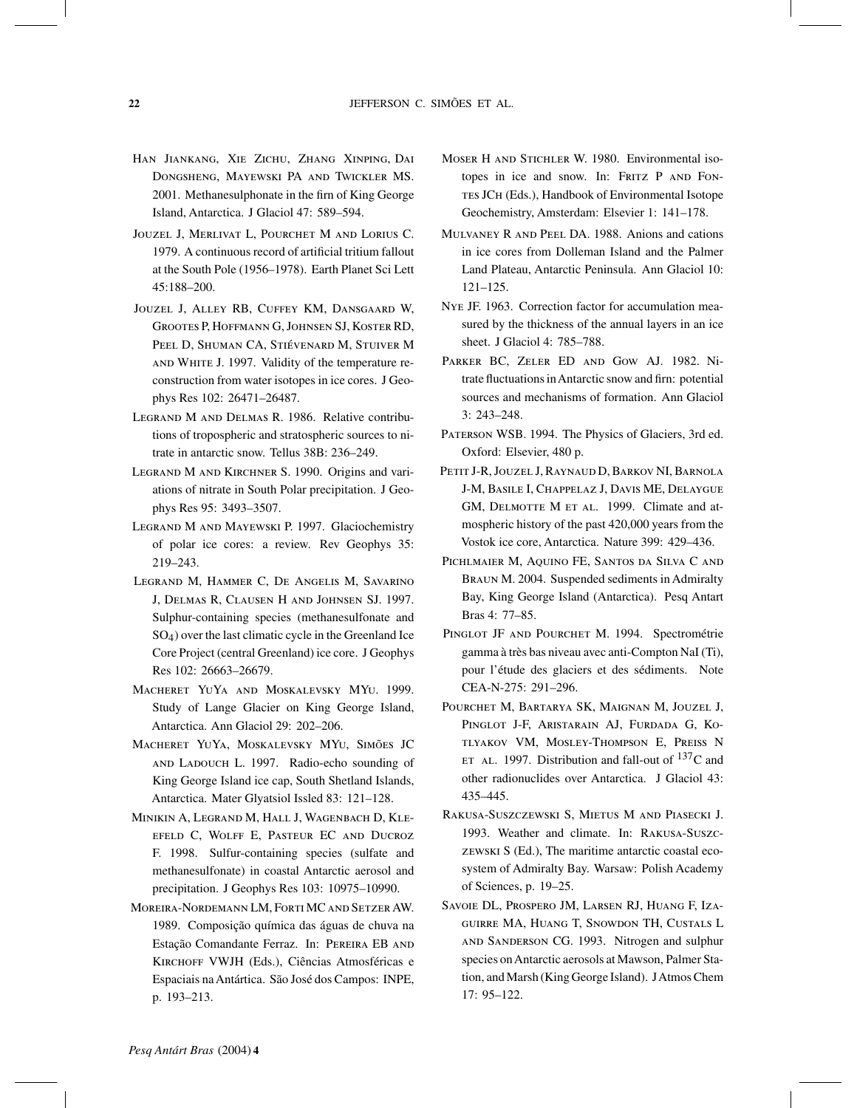- Han Jiankang, Xie Zichu, Zhang Xinping, Dai Dongsheng, Mayewski PA and Twickler MS. 2001. Methanesulphonate in the firn of King George Island, Antarctica. J Glaciol 47: 589–594.
- Jouzel J, Merlivat L, Pourchet M and Lorius C. 1979. A continuous record of artificial tritium fallout at the South Pole (1956–1978). Earth Planet Sci Lett 45:188–200.
- Jouzel J, Alley RB, Cuffey KM, Dansgaard W, Grootes P, Hoffmann G, Johnsen SJ, Koster RD, Peel D, Shuman CA, Stiévenard M, Stuiver M and White J. 1997. Validity of the temperature reconstruction from water isotopes in ice cores. J Geophys Res 102: 26471–26487.
- Legrand M and Delmas R. 1986. Relative contributions of tropospheric and stratospheric sources to nitrate in antarctic snow. Tellus 38B: 236–249.
- Legrand M and Kirchner S. 1990. Origins and variations of nitrate in South Polar precipitation. J Geophys Res 95: 3493–3507.
- Legrand M and Mayewski P. 1997. Glaciochemistry of polar ice cores: a review. Rev Geophys 35: 219–243.
- Legrand M, Hammer C, De Angelis M, Savarino J, Delmas R, Clausen H and Johnsen SJ. 1997. Sulphur-containing species (methanesulfonate and SO4) over the last climatic cycle in the Greenland Ice Core Project (central Greenland) ice core. J Geophys Res 102: 26663–26679.
- Macheret YuYa and Moskalevsky MYu. 1999. Study of Lange Glacier on King George Island, Antarctica. Ann Glaciol 29: 202–206.
- Macheret YuYa, Moskalevsky MYu, Simões JC and Ladouch L. 1997. Radio-echo sounding of King George Island ice cap, South Shetland Islands, Antarctica. Mater Glyatsiol Issled 83: 121–128.
- Minikin A, Legrand M, Hall J, Wagenbach D, Kleefeld C, Wolff E, Pasteur EC and Ducroz F. 1998. Sulfur-containing species (sulfate and methanesulfonate) in coastal Antarctic aerosol and precipitation. J Geophys Res 103: 10975–10990.
- Moreira-Nordemann LM, Forti MC and Setzer AW. 1989. Composição química das águas de chuva na Estação Comandante Ferraz. In: Pereira EB and Kirchoff VWJH (Eds.), Ciências Atmosféricas e Espaciais na Antártica. São José dos Campos: INPE, p. 193–213.
- MOSER H AND STICHLER W. 1980. Environmental isotopes in ice and snow. In: FRITZ P AND FON-TES JCH (Eds.), Handbook of Environmental Isotope Geochemistry, Amsterdam: Elsevier 1: 141–178.
- Mulvaney R and Peel DA. 1988. Anions and cations in ice cores from Dolleman Island and the Palmer Land Plateau, Antarctic Peninsula. Ann Glaciol 10: 121–125.
- Nye JF. 1963. Correction factor for accumulation measured by the thickness of the annual layers in an ice sheet. J Glaciol 4: 785–788.
- Parker BC, Zeler ED and Gow AJ. 1982. Nitrate fluctuations inAntarctic snow and firn: potential sources and mechanisms of formation. Ann Glaciol 3: 243–248.
- Paterson WSB. 1994. The Physics of Glaciers, 3rd ed. Oxford: Elsevier, 480 p.
- Petit J-R, Jouzel J, Raynaud D, Barkov NI, Barnola J-M, Basile I, Chappelaz J, Davis ME, Delaygue GM, DELMOTTE M ET AL. 1999. Climate and atmospheric history of the past 420,000 years from the Vostok ice core, Antarctica. Nature 399: 429–436.
- Pichlmaier M, Aquino FE, Santos da Silva C and Braun M. 2004. Suspended sediments in Admiralty Bay, King George Island (Antarctica). Pesq Antart Bras 4: 77–85.
- PINGLOT JF AND POURCHET M. 1994. Spectrométrie gamma à très bas niveau avec anti-Compton NaI (Ti), pour l'étude des glaciers et des sédiments. Note CEA-N-275: 291–296.
- Pourchet M, Bartarya SK, Maignan M, Jouzel J, Pinglot J-F, Aristarain AJ, Furdada G, Kotlyakov VM, Mosley-Thompson E, Preiss N ET AL. 1997. Distribution and fall-out of  $137C$  and other radionuclides over Antarctica. J Glaciol 43: 435–445.
- Rakusa-Suszczewski S, Mietus M and Piasecki J. 1993. Weather and climate. In: Rakusa-Suszczewski S (Ed.), The maritime antarctic coastal ecosystem of Admiralty Bay. Warsaw: Polish Academy of Sciences, p. 19–25.
- Savoie DL, Prospero JM, Larsen RJ, Huang F, Izaguirre MA, Huang T, Snowdon TH, Custals L and Sanderson CG. 1993. Nitrogen and sulphur species onAntarctic aerosols at Mawson, Palmer Station, and Marsh (King George Island). JAtmos Chem 17: 95–122.